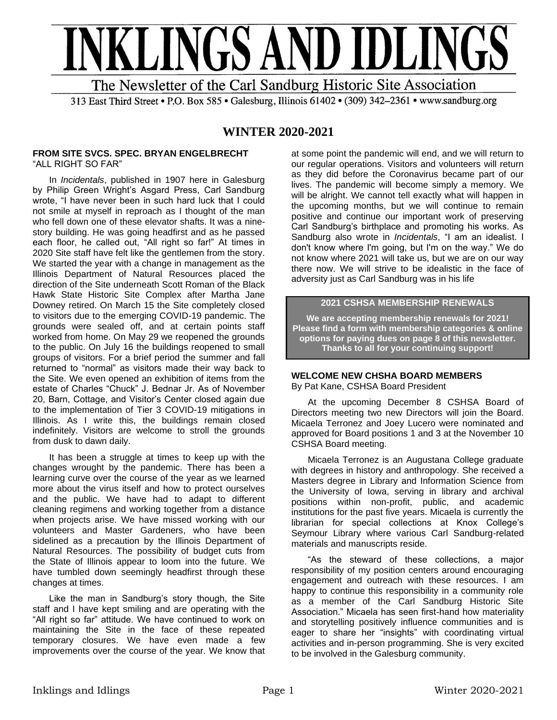

313 East Third Street • P.O. Box 585 • Galesburg, Illinois 61402 • (309) 342-2361 • www.sandburg.org

# **WINTER 2020-2021**

#### **FROM SITE SVCS. SPEC. BRYAN ENGELBRECHT** "ALL RIGHT SO FAR"

In *Incidentals*, published in 1907 here in Galesburg by Philip Green Wright's Asgard Press, Carl Sandburg wrote, "I have never been in such hard luck that I could not smile at myself in reproach as I thought of the man who fell down one of these elevator shafts. It was a ninestory building. He was going headfirst and as he passed each floor, he called out, "All right so far!" At times in 2020 Site staff have felt like the gentlemen from the story. We started the year with a change in management as the Illinois Department of Natural Resources placed the direction of the Site underneath Scott Roman of the Black Hawk State Historic Site Complex after Martha Jane Downey retired. On March 15 the Site completely closed to visitors due to the emerging COVID-19 pandemic. The grounds were sealed off, and at certain points staff worked from home. On May 29 we reopened the grounds to the public. On July 16 the buildings reopened to small groups of visitors. For a brief period the summer and fall returned to "normal" as visitors made their way back to the Site. We even opened an exhibition of items from the estate of Charles "Chuck" J. Bednar Jr. As of November 20, Barn, Cottage, and Visitor's Center closed again due to the implementation of Tier 3 COVID-19 mitigations in Illinois. As I write this, the buildings remain closed indefinitely. Visitors are welcome to stroll the grounds from dusk to dawn daily.

It has been a struggle at times to keep up with the changes wrought by the pandemic. There has been a learning curve over the course of the year as we learned more about the virus itself and how to protect ourselves and the public. We have had to adapt to different cleaning regimens and working together from a distance when projects arise. We have missed working with our volunteers and Master Gardeners, who have been sidelined as a precaution by the Illinois Department of Natural Resources. The possibility of budget cuts from the State of Illinois appear to loom into the future. We have tumbled down seemingly headfirst through these changes at times.

Like the man in Sandburg's story though, the Site staff and I have kept smiling and are operating with the "All right so far" attitude. We have continued to work on maintaining the Site in the face of these repeated temporary closures. We have even made a few improvements over the course of the year. We know that at some point the pandemic will end, and we will return to our regular operations. Visitors and volunteers will return as they did before the Coronavirus became part of our lives. The pandemic will become simply a memory. We will be alright. We cannot tell exactly what will happen in the upcoming months, but we will continue to remain positive and continue our important work of preserving Carl Sandburg's birthplace and promoting his works. As Sandburg also wrote in *Incidentals*, "I am an idealist. I don't know where I'm going, but I'm on the way." We do not know where 2021 will take us, but we are on our way there now. We will strive to be idealistic in the face of adversity just as Carl Sandburg was in his life

## **2021 CSHSA MEMBERSHIP RENEWALS**

**We are accepting membership renewals for 2021! Please find a form with membership categories & online options for paying dues on page 8 of this newsletter. Thanks to all for your continuing support!**

#### **WELCOME NEW CHSHA BOARD MEMBERS**  By Pat Kane, CSHSA Board President

At the upcoming December 8 CSHSA Board of Directors meeting two new Directors will join the Board. Micaela Terronez and Joey Lucero were nominated and approved for Board positions 1 and 3 at the November 10 CSHSA Board meeting.

Micaela Terronez is an Augustana College graduate with degrees in history and anthropology. She received a Masters degree in Library and Information Science from the University of Iowa, serving in library and archival positions within non-profit, public, and academic institutions for the past five years. Micaela is currently the librarian for special collections at Knox College's Seymour Library where various Carl Sandburg-related materials and manuscripts reside.

"As the steward of these collections, a major responsibility of my position centers around encouraging engagement and outreach with these resources. I am happy to continue this responsibility in a community role as a member of the Carl Sandburg Historic Site Association." Micaela has seen first-hand how materiality and storytelling positively influence communities and is eager to share her "insights" with coordinating virtual activities and in-person programming. She is very excited to be involved in the Galesburg community.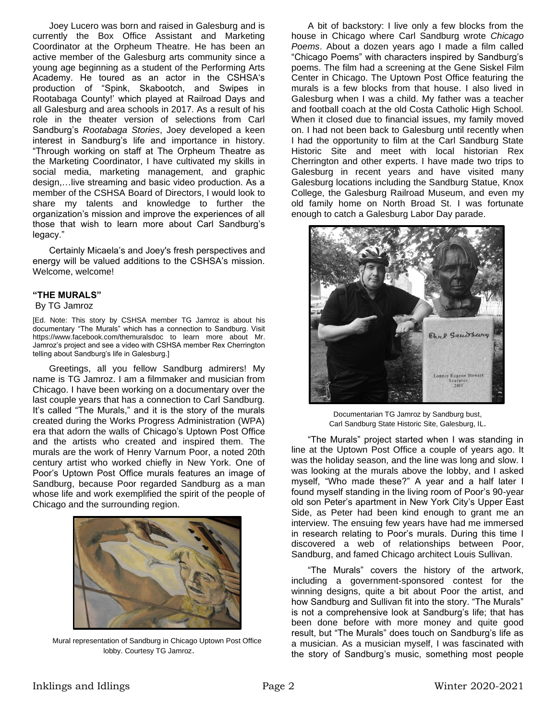Joey Lucero was born and raised in Galesburg and is currently the Box Office Assistant and Marketing Coordinator at the Orpheum Theatre. He has been an active member of the Galesburg arts community since a young age beginning as a student of the Performing Arts Academy. He toured as an actor in the CSHSA's production of "Spink, Skabootch, and Swipes in Rootabaga County!' which played at Railroad Days and all Galesburg and area schools in 2017. As a result of his role in the theater version of selections from Carl Sandburg's *Rootabaga Stories*, Joey developed a keen interest in Sandburg's life and importance in history. "Through working on staff at The Orpheum Theatre as the Marketing Coordinator, I have cultivated my skills in social media, marketing management, and graphic design,…live streaming and basic video production. As a member of the CSHSA Board of Directors, I would look to share my talents and knowledge to further the organization's mission and improve the experiences of all those that wish to learn more about Carl Sandburg's legacy."

Certainly Micaela's and Joey's fresh perspectives and energy will be valued additions to the CSHSA's mission. Welcome, welcome!

#### **"THE MURALS"**

By TG Jamroz

[Ed. Note: This story by CSHSA member TG Jamroz is about his documentary "The Murals" which has a connection to Sandburg. Visit https://www.facebook.com/themuralsdoc to learn more about Mr. Jamroz's project and see a video with CSHSA member Rex Cherrington telling about Sandburg's life in Galesburg.]

Greetings, all you fellow Sandburg admirers! My name is TG Jamroz. I am a filmmaker and musician from Chicago. I have been working on a documentary over the last couple years that has a connection to Carl Sandburg. It's called "The Murals," and it is the story of the murals created during the Works Progress Administration (WPA) era that adorn the walls of Chicago's Uptown Post Office and the artists who created and inspired them. The murals are the work of Henry Varnum Poor, a noted 20th century artist who worked chiefly in New York. One of Poor's Uptown Post Office murals features an image of Sandburg, because Poor regarded Sandburg as a man whose life and work exemplified the spirit of the people of Chicago and the surrounding region.



Mural representation of Sandburg in Chicago Uptown Post Office lobby. Courtesy TG Jamroz.

A bit of backstory: I live only a few blocks from the house in Chicago where Carl Sandburg wrote *Chicago Poems*. About a dozen years ago I made a film called "Chicago Poems" with characters inspired by Sandburg's poems. The film had a screening at the Gene Siskel Film Center in Chicago. The Uptown Post Office featuring the murals is a few blocks from that house. I also lived in Galesburg when I was a child. My father was a teacher and football coach at the old Costa Catholic High School. When it closed due to financial issues, my family moved on. I had not been back to Galesburg until recently when I had the opportunity to film at the Carl Sandburg State Historic Site and meet with local historian Rex Cherrington and other experts. I have made two trips to Galesburg in recent years and have visited many Galesburg locations including the Sandburg Statue, Knox College, the Galesburg Railroad Museum, and even my old family home on North Broad St. I was fortunate enough to catch a Galesburg Labor Day parade.



Documentarian TG Jamroz by Sandburg bust, Carl Sandburg State Historic Site, Galesburg, IL.

"The Murals" project started when I was standing in line at the Uptown Post Office a couple of years ago. It was the holiday season, and the line was long and slow. I was looking at the murals above the lobby, and I asked myself, "Who made these?" A year and a half later I found myself standing in the living room of Poor's 90-year old son Peter's apartment in New York City's Upper East Side, as Peter had been kind enough to grant me an interview. The ensuing few years have had me immersed in research relating to Poor's murals. During this time I discovered a web of relationships between Poor, Sandburg, and famed Chicago architect Louis Sullivan.

"The Murals" covers the history of the artwork, including a government-sponsored contest for the winning designs, quite a bit about Poor the artist, and how Sandburg and Sullivan fit into the story. "The Murals" is not a comprehensive look at Sandburg's life; that has been done before with more money and quite good result, but "The Murals" does touch on Sandburg's life as a musician. As a musician myself, I was fascinated with the story of Sandburg's music, something most people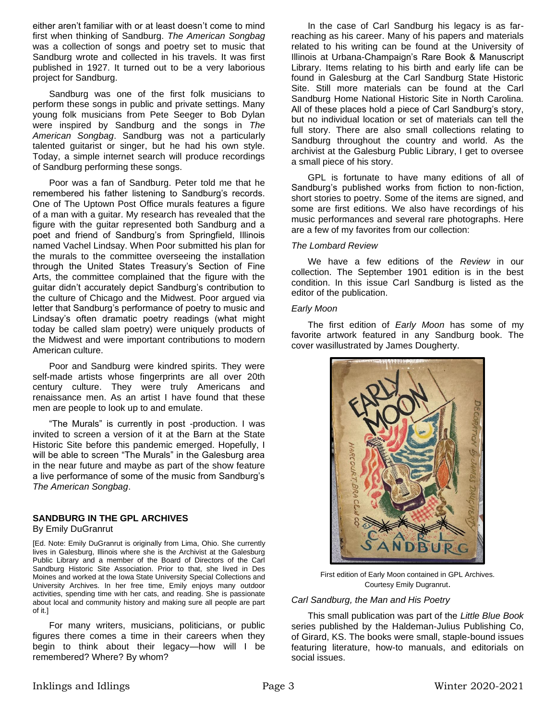either aren't familiar with or at least doesn't come to mind first when thinking of Sandburg. *The American Songbag* was a collection of songs and poetry set to music that Sandburg wrote and collected in his travels. It was first published in 1927. It turned out to be a very laborious project for Sandburg.

Sandburg was one of the first folk musicians to perform these songs in public and private settings. Many young folk musicians from Pete Seeger to Bob Dylan were inspired by Sandburg and the songs in *The American Songbag*. Sandburg was not a particularly talented guitarist or singer, but he had his own style. Today, a simple internet search will produce recordings of Sandburg performing these songs.

Poor was a fan of Sandburg. Peter told me that he remembered his father listening to Sandburg's records. One of The Uptown Post Office murals features a figure of a man with a guitar. My research has revealed that the figure with the guitar represented both Sandburg and a poet and friend of Sandburg's from Springfield, Illinois named Vachel Lindsay. When Poor submitted his plan for the murals to the committee overseeing the installation through the United States Treasury's Section of Fine Arts, the committee complained that the figure with the guitar didn't accurately depict Sandburg's contribution to the culture of Chicago and the Midwest. Poor argued via letter that Sandburg's performance of poetry to music and Lindsay's often dramatic poetry readings (what might today be called slam poetry) were uniquely products of the Midwest and were important contributions to modern American culture.

Poor and Sandburg were kindred spirits. They were self-made artists whose fingerprints are all over 20th century culture. They were truly Americans and renaissance men. As an artist I have found that these men are people to look up to and emulate.

"The Murals" is currently in post -production. I was invited to screen a version of it at the Barn at the State Historic Site before this pandemic emerged. Hopefully, I will be able to screen "The Murals" in the Galesburg area in the near future and maybe as part of the show feature a live performance of some of the music from Sandburg's *The American Songbag*.

## **SANDBURG IN THE GPL ARCHIVES**

By Emily DuGranrut

[Ed. Note: Emily DuGranrut is originally from Lima, Ohio. She currently lives in Galesburg, Illinois where she is the Archivist at the Galesburg Public Library and a member of the Board of Directors of the Carl Sandburg Historic Site Association. Prior to that, she lived in Des Moines and worked at the Iowa State University Special Collections and University Archives. In her free time, Emily enjoys many outdoor activities, spending time with her cats, and reading. She is passionate about local and community history and making sure all people are part of it.]

For many writers, musicians, politicians, or public figures there comes a time in their careers when they begin to think about their legacy—how will I be remembered? Where? By whom?

In the case of Carl Sandburg his legacy is as farreaching as his career. Many of his papers and materials related to his writing can be found at the University of Illinois at Urbana-Champaign's Rare Book & Manuscript Library. Items relating to his birth and early life can be found in Galesburg at the Carl Sandburg State Historic Site. Still more materials can be found at the Carl Sandburg Home National Historic Site in North Carolina. All of these places hold a piece of Carl Sandburg's story, but no individual location or set of materials can tell the full story. There are also small collections relating to Sandburg throughout the country and world. As the archivist at the Galesburg Public Library, I get to oversee a small piece of his story.

GPL is fortunate to have many editions of all of Sandburg's published works from fiction to non-fiction, short stories to poetry. Some of the items are signed, and some are first editions. We also have recordings of his music performances and several rare photographs. Here are a few of my favorites from our collection:

#### *The Lombard Review*

We have a few editions of the *Review* in our collection. The September 1901 edition is in the best condition. In this issue Carl Sandburg is listed as the editor of the publication.

#### *Early Moon*

The first edition of *Early Moon* has some of my favorite artwork featured in any Sandburg book. The cover wasillustrated by James Dougherty.



First edition of Early Moon contained in GPL Archives. Courtesy Emily Dugranrut.

#### *Carl Sandburg, the Man and His Poetry*

This small publication was part of the *Little Blue Book* series published by the Haldeman-Julius Publishing Co, of Girard, KS. The books were small, staple-bound issues featuring literature, how-to manuals, and editorials on social issues.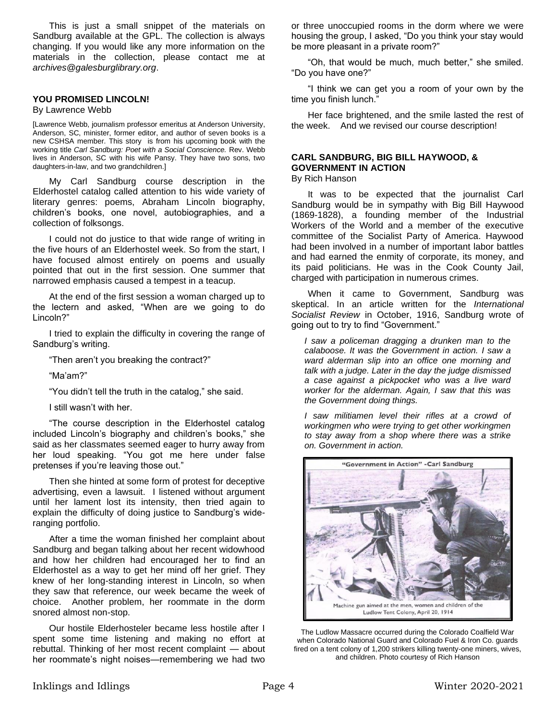This is just a small snippet of the materials on Sandburg available at the GPL. The collection is always changing. If you would like any more information on the materials in the collection, please contact me at *archives@galesburglibrary.org*.

#### **YOU PROMISED LINCOLN!**

#### By Lawrence Webb

[Lawrence Webb, journalism professor emeritus at Anderson University, Anderson, SC, minister, former editor, and author of seven books is a new CSHSA member. This story is from his upcoming book with the working title *Carl Sandburg: Poet with a Social Conscience.* Rev. Webb lives in Anderson, SC with his wife Pansy. They have two sons, two daughters-in-law, and two grandchildren.]

My Carl Sandburg course description in the Elderhostel catalog called attention to his wide variety of literary genres: poems, Abraham Lincoln biography, children's books, one novel, autobiographies, and a collection of folksongs.

I could not do justice to that wide range of writing in the five hours of an Elderhostel week. So from the start, I have focused almost entirely on poems and usually pointed that out in the first session. One summer that narrowed emphasis caused a tempest in a teacup.

At the end of the first session a woman charged up to the lectern and asked, "When are we going to do Lincoln?"

I tried to explain the difficulty in covering the range of Sandburg's writing.

"Then aren't you breaking the contract?"

"Ma'am?"

"You didn't tell the truth in the catalog," she said.

I still wasn't with her.

"The course description in the Elderhostel catalog included Lincoln's biography and children's books," she said as her classmates seemed eager to hurry away from her loud speaking. "You got me here under false pretenses if you're leaving those out."

Then she hinted at some form of protest for deceptive advertising, even a lawsuit. I listened without argument until her lament lost its intensity, then tried again to explain the difficulty of doing justice to Sandburg's wideranging portfolio.

After a time the woman finished her complaint about Sandburg and began talking about her recent widowhood and how her children had encouraged her to find an Elderhostel as a way to get her mind off her grief. They knew of her long-standing interest in Lincoln, so when they saw that reference, our week became the week of choice. Another problem, her roommate in the dorm snored almost non-stop.

Our hostile Elderhosteler became less hostile after I spent some time listening and making no effort at rebuttal. Thinking of her most recent complaint — about her roommate's night noises—remembering we had two

or three unoccupied rooms in the dorm where we were housing the group, I asked, "Do you think your stay would be more pleasant in a private room?"

"Oh, that would be much, much better," she smiled. "Do you have one?"

"I think we can get you a room of your own by the time you finish lunch."

Her face brightened, and the smile lasted the rest of the week. And we revised our course description!

#### **CARL SANDBURG, BIG BILL HAYWOOD, & GOVERNMENT IN ACTION**  By Rich Hanson

It was to be expected that the journalist Carl Sandburg would be in sympathy with Big Bill Haywood (1869-1828), a founding member of the Industrial Workers of the World and a member of the executive committee of the Socialist Party of America. Haywood had been involved in a number of important labor battles and had earned the enmity of corporate, its money, and its paid politicians. He was in the Cook County Jail, charged with participation in numerous crimes.

When it came to Government, Sandburg was skeptical. In an article written for the *International Socialist Review* in October, 1916, Sandburg wrote of going out to try to find "Government."

*I saw a policeman dragging a drunken man to the calaboose. It was the Government in action. I saw a ward alderman slip into an office one morning and talk with a judge. Later in the day the judge dismissed a case against a pickpocket who was a live ward worker for the alderman. Again, I saw that this was the Government doing things.*

*I saw militiamen level their rifles at a crowd of workingmen who were trying to get other workingmen to stay away from a shop where there was a strike on. Government in action.*



The Ludlow Massacre occurred during the Colorado Coalfield War when Colorado National Guard and Colorado Fuel & Iron Co. guards fired on a tent colony of 1,200 strikers killing twenty-one miners, wives, and children. Photo courtesy of Rich Hanson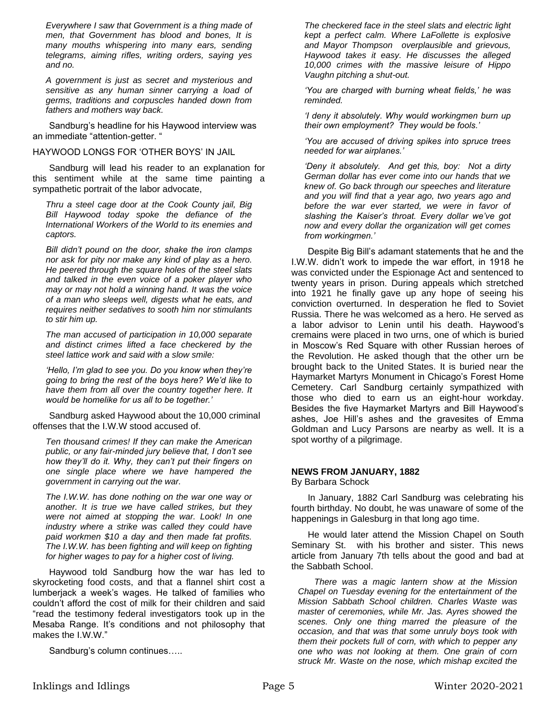*Everywhere I saw that Government is a thing made of men, that Government has blood and bones, It is many mouths whispering into many ears, sending telegrams, aiming rifles, writing orders, saying yes and no.*

*A government is just as secret and mysterious and sensitive as any human sinner carrying a load of germs, traditions and corpuscles handed down from fathers and mothers way back.*

Sandburg's headline for his Haywood interview was an immediate "attention-getter. "

#### HAYWOOD LONGS FOR 'OTHER BOYS' IN JAIL

Sandburg will lead his reader to an explanation for this sentiment while at the same time painting a sympathetic portrait of the labor advocate,

*Thru a steel cage door at the Cook County jail, Big Bill Haywood today spoke the defiance of the International Workers of the World to its enemies and captors.*

*Bill didn't pound on the door, shake the iron clamps nor ask for pity nor make any kind of play as a hero. He peered through the square holes of the steel slats and talked in the even voice of a poker player who may or may not hold a winning hand. It was the voice of a man who sleeps well, digests what he eats, and requires neither sedatives to sooth him nor stimulants to stir him up.*

*The man accused of participation in 10,000 separate and distinct crimes lifted a face checkered by the steel lattice work and said with a slow smile:*

*'Hello, I'm glad to see you. Do you know when they're going to bring the rest of the boys here? We'd like to have them from all over the country together here. It would be homelike for us all to be together.'*

Sandburg asked Haywood about the 10,000 criminal offenses that the I.W.W stood accused of.

*Ten thousand crimes! If they can make the American public, or any fair-minded jury believe that, I don't see how they'll do it. Why, they can't put their fingers on one single place where we have hampered the government in carrying out the war.*

*The I.W.W. has done nothing on the war one way or another. It is true we have called strikes, but they were not aimed at stopping the war. Look! In one industry where a strike was called they could have paid workmen \$10 a day and then made fat profits. The I.W.W. has been fighting and will keep on fighting for higher wages to pay for a higher cost of living.* 

Haywood told Sandburg how the war has led to skyrocketing food costs, and that a flannel shirt cost a lumberjack a week's wages. He talked of families who couldn't afford the cost of milk for their children and said "read the testimony federal investigators took up in the Mesaba Range. It's conditions and not philosophy that makes the I.W.W."

Sandburg's column continues…..

*The checkered face in the steel slats and electric light kept a perfect calm. Where LaFollette is explosive and Mayor Thompson overplausible and grievous, Haywood takes it easy. He discusses the alleged 10,000 crimes with the massive leisure of Hippo Vaughn pitching a shut-out.*

*'You are charged with burning wheat fields,' he was reminded.*

*'I deny it absolutely. Why would workingmen burn up their own employment? They would be fools.'*

*'You are accused of driving spikes into spruce trees needed for war airplanes.'*

*'Deny it absolutely. And get this, boy: Not a dirty German dollar has ever come into our hands that we knew of. Go back through our speeches and literature and you will find that a year ago, two years ago and before the war ever started, we were in favor of slashing the Kaiser's throat. Every dollar we've got now and every dollar the organization will get comes from workingmen.'*

Despite Big Bill's adamant statements that he and the I.W.W. didn't work to impede the war effort, in 1918 he was convicted under the Espionage Act and sentenced to twenty years in prison. During appeals which stretched into 1921 he finally gave up any hope of seeing his conviction overturned. In desperation he fled to Soviet Russia. There he was welcomed as a hero. He served as a labor advisor to Lenin until his death. Haywood's cremains were placed in two urns, one of which is buried in Moscow's Red Square with other Russian heroes of the Revolution. He asked though that the other urn be brought back to the United States. It is buried near the Haymarket Martyrs Monument in Chicago's Forest Home Cemetery. Carl Sandburg certainly sympathized with those who died to earn us an eight-hour workday. Besides the five Haymarket Martyrs and Bill Haywood's ashes, Joe Hill's ashes and the gravesites of Emma Goldman and Lucy Parsons are nearby as well. It is a spot worthy of a pilgrimage.

## **NEWS FROM JANUARY, 1882**

By Barbara Schock

In January, 1882 Carl Sandburg was celebrating his fourth birthday. No doubt, he was unaware of some of the happenings in Galesburg in that long ago time.

He would later attend the Mission Chapel on South Seminary St. with his brother and sister. This news article from January 7th tells about the good and bad at the Sabbath School.

*There was a magic lantern show at the Mission Chapel on Tuesday evening for the entertainment of the Mission Sabbath School children. Charles Waste was master of ceremonies, while Mr. Jas. Ayres showed the scenes. Only one thing marred the pleasure of the occasion, and that was that some unruly boys took with them their pockets full of corn, with which to pepper any one who was not looking at them. One grain of corn struck Mr. Waste on the nose, which mishap excited the*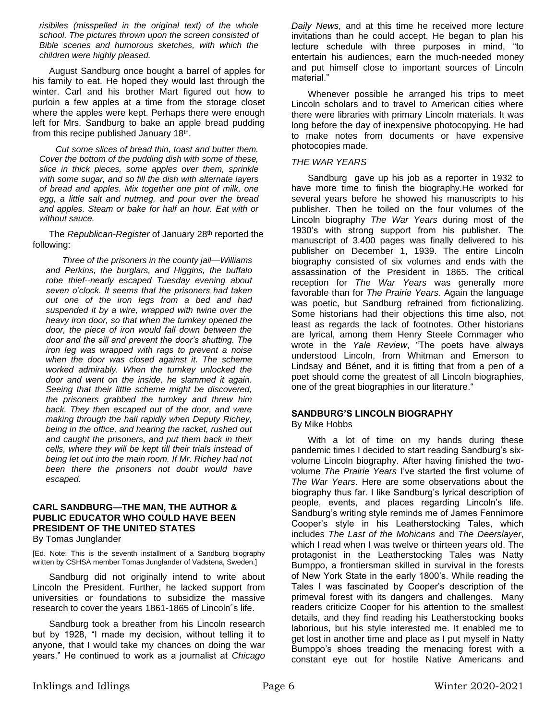*risibiles (misspelled in the original text) of the whole school. The pictures thrown upon the screen consisted of Bible scenes and humorous sketches, with which the children were highly pleased.*

August Sandburg once bought a barrel of apples for his family to eat. He hoped they would last through the winter. Carl and his brother Mart figured out how to purloin a few apples at a time from the storage closet where the apples were kept. Perhaps there were enough left for Mrs. Sandburg to bake an apple bread pudding from this recipe published January 18<sup>th</sup>.

*Cut some slices of bread thin, toast and butter them. Cover the bottom of the pudding dish with some of these, slice in thick pieces, some apples over them, sprinkle with some sugar, and so fill the dish with alternate layers of bread and apples. Mix together one pint of milk, one egg, a little salt and nutmeg, and pour over the bread and apples. Steam or bake for half an hour. Eat with or without sauce.*

The *Republican-Register* of January 28th reported the following:

*Three of the prisoners in the county jail—Williams and Perkins, the burglars, and Higgins, the buffalo robe thief--nearly escaped Tuesday evening about seven o'clock. It seems that the prisoners had taken out one of the iron legs from a bed and had suspended it by a wire, wrapped with twine over the heavy iron door, so that when the turnkey opened the door, the piece of iron would fall down between the door and the sill and prevent the door's shutting. The iron leg was wrapped with rags to prevent a noise when the door was closed against it. The scheme worked admirably. When the turnkey unlocked the door and went on the inside, he slammed it again. Seeing that their little scheme might be discovered, the prisoners grabbed the turnkey and threw him back. They then escaped out of the door, and were making through the hall rapidly when Deputy Richey, being in the office, and hearing the racket, rushed out and caught the prisoners, and put them back in their cells, where they will be kept till their trials instead of being let out into the main room. If Mr. Richey had not been there the prisoners not doubt would have escaped.*

#### **CARL SANDBURG—THE MAN, THE AUTHOR & PUBLIC EDUCATOR WHO COULD HAVE BEEN PRESIDENT OF THE UNITED STATES** By Tomas Junglander

[Ed. Note: This is the seventh installment of a Sandburg biography written by CSHSA member Tomas Junglander of Vadstena, Sweden.]

Sandburg did not originally intend to write about Lincoln the President. Further, he lacked support from universities or foundations to subsidize the massive research to cover the years 1861-1865 of Lincoln´s life.

Sandburg took a breather from his Lincoln research but by 1928, "I made my decision, without telling it to anyone, that I would take my chances on doing the war years." He continued to work as a journalist at *Chicago*  *Daily News,* and at this time he received more lecture invitations than he could accept. He began to plan his lecture schedule with three purposes in mind, "to entertain his audiences, earn the much-needed money and put himself close to important sources of Lincoln material."

Whenever possible he arranged his trips to meet Lincoln scholars and to travel to American cities where there were libraries with primary Lincoln materials. It was long before the day of inexpensive photocopying. He had to make notes from documents or have expensive photocopies made.

### *THE WAR YEARS*

Sandburg gave up his job as a reporter in 1932 to have more time to finish the biography.He worked for several years before he showed his manuscripts to his publisher. Then he toiled on the four volumes of the Lincoln biography *The War Years* during most of the 1930's with strong support from his publisher. The manuscript of 3.400 pages was finally delivered to his publisher on December 1, 1939. The entire Lincoln biography consisted of six volumes and ends with the assassination of the President in 1865. The critical reception for *The War Years* was generally more favorable than for *The Prairie Years*. Again the language was poetic, but Sandburg refrained from fictionalizing. Some historians had their objections this time also, not least as regards the lack of footnotes. Other historians are lyrical, among them Henry Steele Commager who wrote in the *Yale Review*, "The poets have always understood Lincoln, from Whitman and Emerson to Lindsay and Bénet, and it is fitting that from a pen of a poet should come the greatest of all Lincoln biographies, one of the great biographies in our literature."

# **SANDBURG'S LINCOLN BIOGRAPHY**

## By Mike Hobbs

With a lot of time on my hands during these pandemic times I decided to start reading Sandburg's sixvolume Lincoln biography. After having finished the twovolume *The Prairie Years* I've started the first volume of *The War Years*. Here are some observations about the biography thus far. I like Sandburg's lyrical description of people, events, and places regarding Lincoln's life. Sandburg's writing style reminds me of James Fennimore Cooper's style in his Leatherstocking Tales, which includes *The Last of the Mohicans* and *The Deerslayer*, which I read when I was twelve or thirteen years old. The protagonist in the Leatherstocking Tales was Natty Bumppo, a frontiersman skilled in survival in the forests of New York State in the early 1800's. While reading the Tales I was fascinated by Cooper's description of the primeval forest with its dangers and challenges. Many readers criticize Cooper for his attention to the smallest details, and they find reading his Leatherstocking books laborious, but his style interested me. It enabled me to get lost in another time and place as I put myself in Natty Bumppo's shoes treading the menacing forest with a constant eye out for hostile Native Americans and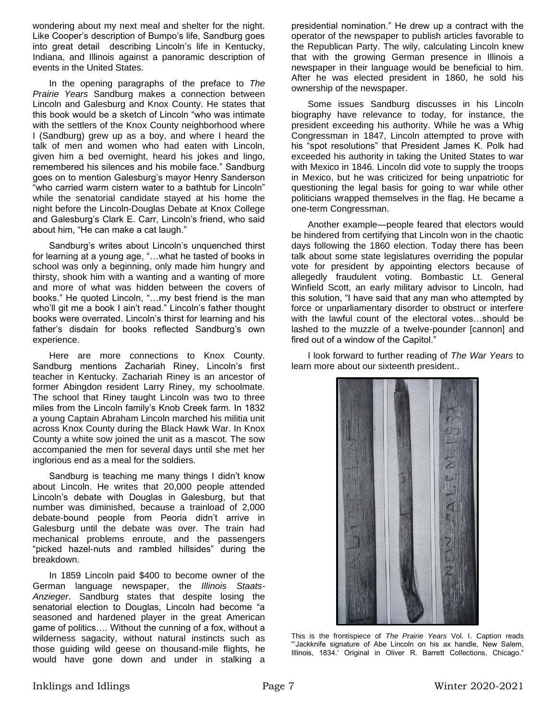wondering about my next meal and shelter for the night. Like Cooper's description of Bumpo's life, Sandburg goes into great detail describing Lincoln's life in Kentucky, Indiana, and Illinois against a panoramic description of events in the United States.

In the opening paragraphs of the preface to *The Prairie Years* Sandburg makes a connection between Lincoln and Galesburg and Knox County. He states that this book would be a sketch of Lincoln "who was intimate with the settlers of the Knox County neighborhood where I (Sandburg) grew up as a boy, and where I heard the talk of men and women who had eaten with Lincoln, given him a bed overnight, heard his jokes and lingo, remembered his silences and his mobile face." Sandburg goes on to mention Galesburg's mayor Henry Sanderson "who carried warm cistern water to a bathtub for Lincoln" while the senatorial candidate stayed at his home the night before the Lincoln-Douglas Debate at Knox College and Galesburg's Clark E. Carr, Lincoln's friend, who said about him, "He can make a cat laugh."

Sandburg's writes about Lincoln's unquenched thirst for learning at a young age, "…what he tasted of books in school was only a beginning, only made him hungry and thirsty, shook him with a wanting and a wanting of more and more of what was hidden between the covers of books." He quoted Lincoln, "…my best friend is the man who'll git me a book I ain't read." Lincoln's father thought books were overrated. Lincoln's thirst for learning and his father's disdain for books reflected Sandburg's own experience.

Here are more connections to Knox County. Sandburg mentions Zachariah Riney, Lincoln's first teacher in Kentucky. Zachariah Riney is an ancestor of former Abingdon resident Larry Riney, my schoolmate. The school that Riney taught Lincoln was two to three miles from the Lincoln family's Knob Creek farm. In 1832 a young Captain Abraham Lincoln marched his militia unit across Knox County during the Black Hawk War. In Knox County a white sow joined the unit as a mascot. The sow accompanied the men for several days until she met her inglorious end as a meal for the soldiers.

Sandburg is teaching me many things I didn't know about Lincoln. He writes that 20,000 people attended Lincoln's debate with Douglas in Galesburg, but that number was diminished, because a trainload of 2,000 debate-bound people from Peoria didn't arrive in Galesburg until the debate was over. The train had mechanical problems enroute, and the passengers "picked hazel-nuts and rambled hillsides" during the breakdown.

In 1859 Lincoln paid \$400 to become owner of the German language newspaper, the *Illinois Staats-Anzieger*. Sandburg states that despite losing the senatorial election to Douglas, Lincoln had become "a seasoned and hardened player in the great American game of politics…. Without the cunning of a fox, without a wilderness sagacity, without natural instincts such as those guiding wild geese on thousand-mile flights, he would have gone down and under in stalking a

presidential nomination." He drew up a contract with the operator of the newspaper to publish articles favorable to the Republican Party. The wily, calculating Lincoln knew that with the growing German presence in Illinois a newspaper in their language would be beneficial to him. After he was elected president in 1860, he sold his ownership of the newspaper.

Some issues Sandburg discusses in his Lincoln biography have relevance to today, for instance, the president exceeding his authority. While he was a Whig Congressman in 1847, Lincoln attempted to prove with his "spot resolutions" that President James K. Polk had exceeded his authority in taking the United States to war with Mexico in 1846. Lincoln did vote to supply the troops in Mexico, but he was criticized for being unpatriotic for questioning the legal basis for going to war while other politicians wrapped themselves in the flag. He became a one-term Congressman.

Another example—people feared that electors would be hindered from certifying that Lincoln won in the chaotic days following the 1860 election. Today there has been talk about some state legislatures overriding the popular vote for president by appointing electors because of allegedly fraudulent voting. Bombastic Lt. General Winfield Scott, an early military advisor to Lincoln, had this solution, "I have said that any man who attempted by force or unparliamentary disorder to obstruct or interfere with the lawful count of the electoral votes…should be lashed to the muzzle of a twelve-pounder [cannon] and fired out of a window of the Capitol."

I look forward to further reading of *The War Years* to learn more about our sixteenth president..



This is the frontispiece of *The Prairie Years* Vol. I. Caption reads "'Jackknife signature of Abe Lincoln on his ax handle, New Salem, Illinois, 1834.' Original in Oliver R. Barrett Collections, Chicago."